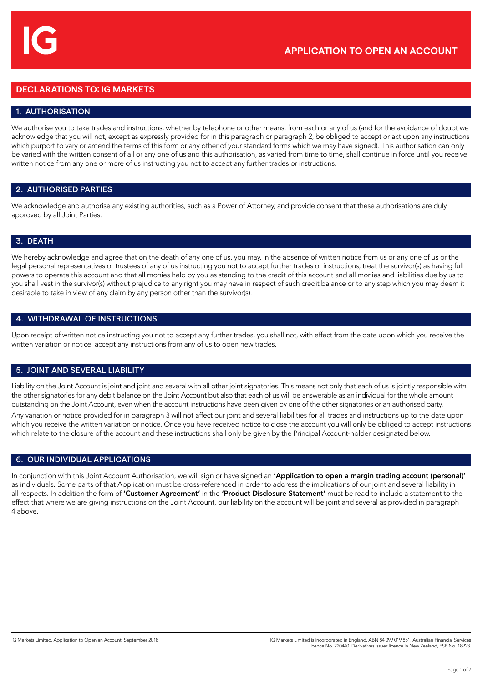# **DECLARATIONS TO: IG MARKETS**

# 1. AUTHORISATION

We authorise you to take trades and instructions, whether by telephone or other means, from each or any of us (and for the avoidance of doubt we acknowledge that you will not, except as expressly provided for in this paragraph or paragraph 2, be obliged to accept or act upon any instructions which purport to vary or amend the terms of this form or any other of your standard forms which we may have signed). This authorisation can only be varied with the written consent of all or any one of us and this authorisation, as varied from time to time, shall continue in force until you receive written notice from any one or more of us instructing you not to accept any further trades or instructions.

### 2. AUTHORISED PARTIES

We acknowledge and authorise any existing authorities, such as a Power of Attorney, and provide consent that these authorisations are duly approved by all Joint Parties.

### 3. DEATH

We hereby acknowledge and agree that on the death of any one of us, you may, in the absence of written notice from us or any one of us or the legal personal representatives or trustees of any of us instructing you not to accept further trades or instructions, treat the survivor(s) as having full powers to operate this account and that all monies held by you as standing to the credit of this account and all monies and liabilities due by us to you shall vest in the survivor(s) without prejudice to any right you may have in respect of such credit balance or to any step which you may deem it desirable to take in view of any claim by any person other than the survivor(s).

#### 4. WITHDRAWAL OF INSTRUCTIONS

Upon receipt of written notice instructing you not to accept any further trades, you shall not, with effect from the date upon which you receive the written variation or notice, accept any instructions from any of us to open new trades.

#### 5. JOINT AND SEVERAL LIABILITY

Liability on the Joint Account is joint and joint and several with all other joint signatories. This means not only that each of us is jointly responsible with the other signatories for any debit balance on the Joint Account but also that each of us will be answerable as an individual for the whole amount outstanding on the Joint Account, even when the account instructions have been given by one of the other signatories or an authorised party.

Any variation or notice provided for in paragraph 3 will not affect our joint and several liabilities for all trades and instructions up to the date upon which you receive the written variation or notice. Once you have received notice to close the account you will only be obliged to accept instructions which relate to the closure of the account and these instructions shall only be given by the Principal Account-holder designated below.

# 6. OUR INDIVIDUAL APPLICATIONS

In conjunction with this Joint Account Authorisation, we will sign or have signed an 'Application to open a margin trading account (personal)' as individuals. Some parts of that Application must be cross-referenced in order to address the implications of our joint and several liability in all respects. In addition the form of 'Customer Agreement' in the 'Product Disclosure Statement' must be read to include a statement to the effect that where we are giving instructions on the Joint Account, our liability on the account will be joint and several as provided in paragraph 4 above.